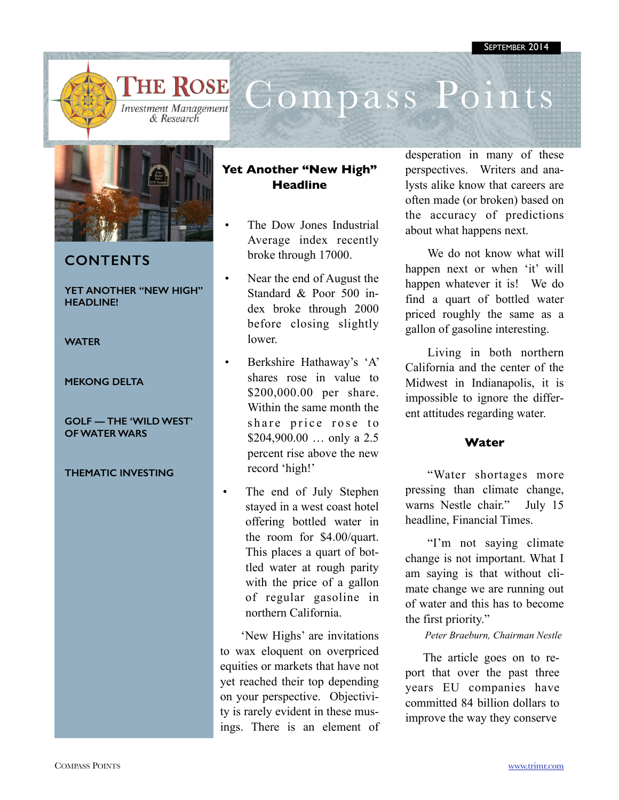

## **THE ROSE**



# Compass Points



## **CONTENTS**

#### **YET ANOTHER "NEW HIGH" HEADLINE!**

#### **WATER**

#### **MEKONG DELTA**

#### **GOLF — THE 'WILD WEST' OF WATER WARS**

### **THEMATIC INVESTING**

## **Yet Another "New High" Headline**

- The Dow Jones Industrial Average index recently broke through 17000.
- Near the end of August the Standard & Poor 500 index broke through 2000 before closing slightly lower.
- Berkshire Hathaway's 'A' shares rose in value to \$200,000.00 per share. Within the same month the share price rose to \$204,900.00 ... only a 2.5 percent rise above the new record 'high!'
- The end of July Stephen stayed in a west coast hotel offering bottled water in the room for \$4.00/quart. This places a quart of bottled water at rough parity with the price of a gallon of regular gasoline in northern California.

'New Highs' are invitations to wax eloquent on overpriced equities or markets that have not yet reached their top depending on your perspective. Objectivity is rarely evident in these musings. There is an element of

desperation in many of these perspectives. Writers and analysts alike know that careers are often made (or broken) based on the accuracy of predictions about what happens next.

We do not know what will happen next or when 'it' will happen whatever it is! We do find a quart of bottled water priced roughly the same as a gallon of gasoline interesting.

Living in both northern California and the center of the Midwest in Indianapolis, it is impossible to ignore the different attitudes regarding water.

## **Water**

"Water shortages more pressing than climate change, warns Nestle chair." July 15 headline, Financial Times.

"I'm not saying climate change is not important. What I am saying is that without climate change we are running out of water and this has to become the first priority."

*Peter Braeburn, Chairman Nestle*

The article goes on to report that over the past three years EU companies have committed 84 billion dollars to improve the way they conserve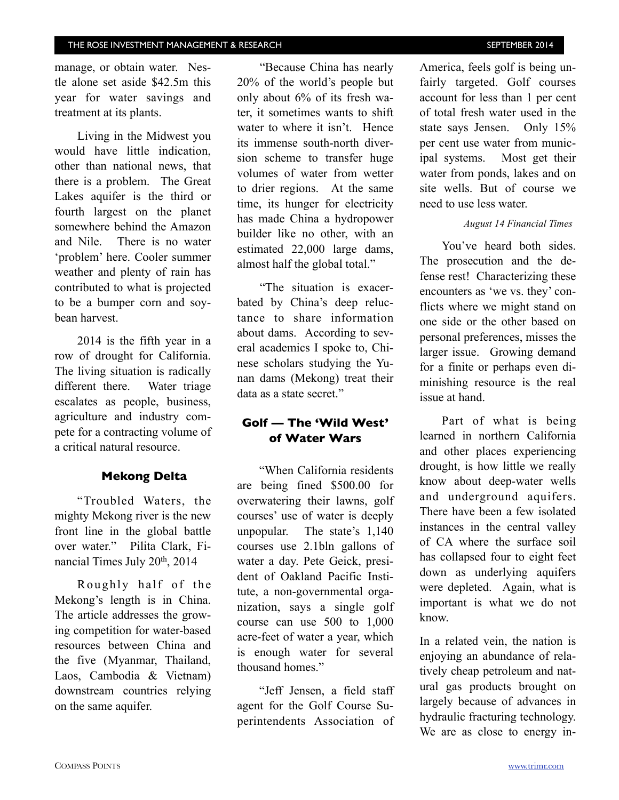manage, or obtain water. Nestle alone set aside \$42.5m this year for water savings and treatment at its plants.

Living in the Midwest you would have little indication, other than national news, that there is a problem. The Great Lakes aquifer is the third or fourth largest on the planet somewhere behind the Amazon and Nile. There is no water 'problem' here. Cooler summer weather and plenty of rain has contributed to what is projected to be a bumper corn and soybean harvest.

2014 is the fifth year in a row of drought for California. The living situation is radically different there. Water triage escalates as people, business, agriculture and industry compete for a contracting volume of a critical natural resource.

## **Mekong Delta**

"Troubled Waters, the mighty Mekong river is the new front line in the global battle over water." Pilita Clark, Financial Times July 20th, 2014

Roughly half of the Mekong's length is in China. The article addresses the growing competition for water-based resources between China and the five (Myanmar, Thailand, Laos, Cambodia & Vietnam) downstream countries relying on the same aquifer.

"Because China has nearly 20% of the world's people but only about 6% of its fresh water, it sometimes wants to shift water to where it isn't. Hence its immense south-north diversion scheme to transfer huge volumes of water from wetter to drier regions. At the same time, its hunger for electricity has made China a hydropower builder like no other, with an estimated 22,000 large dams, almost half the global total."

"The situation is exacerbated by China's deep reluctance to share information about dams. According to several academics I spoke to, Chinese scholars studying the Yunan dams (Mekong) treat their data as a state secret."

## **Golf — The 'Wild West' of Water Wars**

"When California residents are being fined \$500.00 for overwatering their lawns, golf courses' use of water is deeply unpopular. The state's 1,140 courses use 2.1bln gallons of water a day. Pete Geick, president of Oakland Pacific Institute, a non-governmental organization, says a single golf course can use 500 to 1,000 acre-feet of water a year, which is enough water for several thousand homes."

"Jeff Jensen, a field staff agent for the Golf Course Superintendents Association of America, feels golf is being unfairly targeted. Golf courses account for less than 1 per cent of total fresh water used in the state says Jensen. Only 15% per cent use water from municipal systems. Most get their water from ponds, lakes and on site wells. But of course we need to use less water.

### *August 14 Financial Times*

You've heard both sides. The prosecution and the defense rest! Characterizing these encounters as 'we vs. they' conflicts where we might stand on one side or the other based on personal preferences, misses the larger issue. Growing demand for a finite or perhaps even diminishing resource is the real issue at hand.

Part of what is being learned in northern California and other places experiencing drought, is how little we really know about deep-water wells and underground aquifers. There have been a few isolated instances in the central valley of CA where the surface soil has collapsed four to eight feet down as underlying aquifers were depleted. Again, what is important is what we do not know.

In a related vein, the nation is enjoying an abundance of relatively cheap petroleum and natural gas products brought on largely because of advances in hydraulic fracturing technology. We are as close to energy in